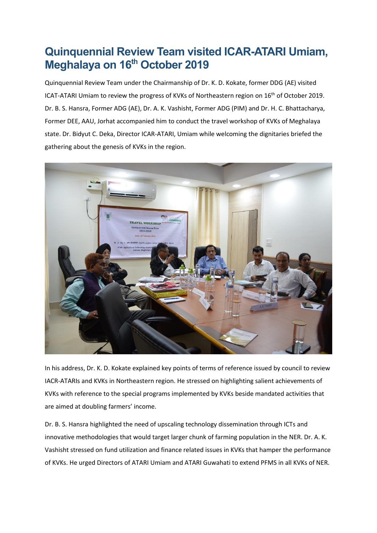## **Quinquennial Review Team visited ICAR-ATARI Umiam, Meghalaya on 16th October 2019**

Quinquennial Review Team under the Chairmanship of Dr. K. D. Kokate, former DDG (AE) visited ICAT-ATARI Umiam to review the progress of KVKs of Northeastern region on 16<sup>th</sup> of October 2019. Dr. B. S. Hansra, Former ADG (AE), Dr. A. K. Vashisht, Former ADG (PIM) and Dr. H. C. Bhattacharya, Former DEE, AAU, Jorhat accompanied him to conduct the travel workshop of KVKs of Meghalaya state. Dr. Bidyut C. Deka, Director ICAR-ATARI, Umiam while welcoming the dignitaries briefed the gathering about the genesis of KVKs in the region.



In his address, Dr. K. D. Kokate explained key points of terms of reference issued by council to review IACR-ATARIs and KVKs in Northeastern region. He stressed on highlighting salient achievements of KVKs with reference to the special programs implemented by KVKs beside mandated activities that are aimed at doubling farmers' income.

Dr. B. S. Hansra highlighted the need of upscaling technology dissemination through ICTs and innovative methodologies that would target larger chunk of farming population in the NER. Dr. A. K. Vashisht stressed on fund utilization and finance related issues in KVKs that hamper the performance of KVKs. He urged Directors of ATARI Umiam and ATARI Guwahati to extend PFMS in all KVKs of NER.